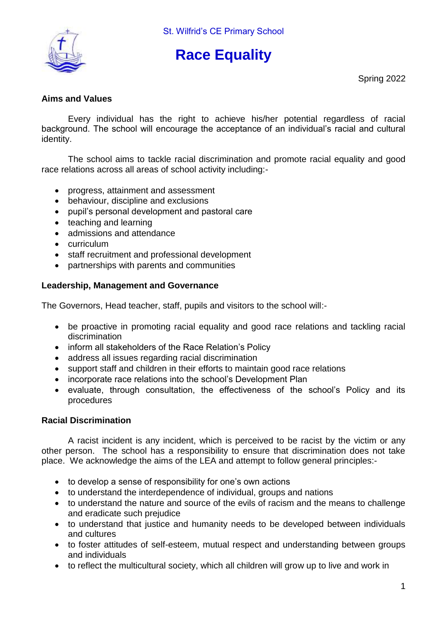

# **Race Equality**

Spring 2022

# **Aims and Values**

Every individual has the right to achieve his/her potential regardless of racial background. The school will encourage the acceptance of an individual's racial and cultural identity.

The school aims to tackle racial discrimination and promote racial equality and good race relations across all areas of school activity including:-

- progress, attainment and assessment
- behaviour, discipline and exclusions
- pupil's personal development and pastoral care
- teaching and learning
- admissions and attendance
- curriculum
- staff recruitment and professional development
- partnerships with parents and communities

# **Leadership, Management and Governance**

The Governors, Head teacher, staff, pupils and visitors to the school will:-

- be proactive in promoting racial equality and good race relations and tackling racial discrimination
- inform all stakeholders of the Race Relation's Policy
- address all issues regarding racial discrimination
- support staff and children in their efforts to maintain good race relations
- incorporate race relations into the school's Development Plan
- evaluate, through consultation, the effectiveness of the school's Policy and its procedures

## **Racial Discrimination**

A racist incident is any incident, which is perceived to be racist by the victim or any other person. The school has a responsibility to ensure that discrimination does not take place. We acknowledge the aims of the LEA and attempt to follow general principles:-

- to develop a sense of responsibility for one's own actions
- to understand the interdependence of individual, groups and nations
- to understand the nature and source of the evils of racism and the means to challenge and eradicate such prejudice
- to understand that justice and humanity needs to be developed between individuals and cultures
- to foster attitudes of self-esteem, mutual respect and understanding between groups and individuals
- to reflect the multicultural society, which all children will grow up to live and work in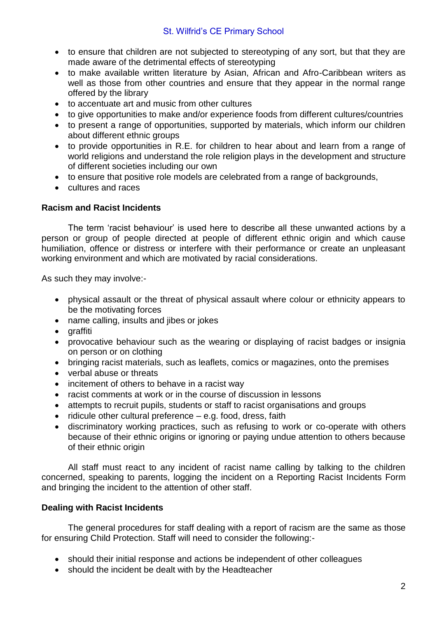- to ensure that children are not subjected to stereotyping of any sort, but that they are made aware of the detrimental effects of stereotyping
- to make available written literature by Asian, African and Afro-Caribbean writers as well as those from other countries and ensure that they appear in the normal range offered by the library
- to accentuate art and music from other cultures
- to give opportunities to make and/or experience foods from different cultures/countries
- to present a range of opportunities, supported by materials, which inform our children about different ethnic groups
- to provide opportunities in R.E. for children to hear about and learn from a range of world religions and understand the role religion plays in the development and structure of different societies including our own
- to ensure that positive role models are celebrated from a range of backgrounds,
- cultures and races

### **Racism and Racist Incidents**

The term 'racist behaviour' is used here to describe all these unwanted actions by a person or group of people directed at people of different ethnic origin and which cause humiliation, offence or distress or interfere with their performance or create an unpleasant working environment and which are motivated by racial considerations.

As such they may involve:-

- physical assault or the threat of physical assault where colour or ethnicity appears to be the motivating forces
- name calling, insults and jibes or jokes
- graffiti
- provocative behaviour such as the wearing or displaying of racist badges or insignia on person or on clothing
- bringing racist materials, such as leaflets, comics or magazines, onto the premises
- verbal abuse or threats
- incitement of others to behave in a racist way
- racist comments at work or in the course of discussion in lessons
- attempts to recruit pupils, students or staff to racist organisations and groups
- ridicule other cultural preference e.g. food, dress, faith
- discriminatory working practices, such as refusing to work or co-operate with others because of their ethnic origins or ignoring or paying undue attention to others because of their ethnic origin

All staff must react to any incident of racist name calling by talking to the children concerned, speaking to parents, logging the incident on a Reporting Racist Incidents Form and bringing the incident to the attention of other staff.

### **Dealing with Racist Incidents**

The general procedures for staff dealing with a report of racism are the same as those for ensuring Child Protection. Staff will need to consider the following:-

- should their initial response and actions be independent of other colleagues
- should the incident be dealt with by the Headteacher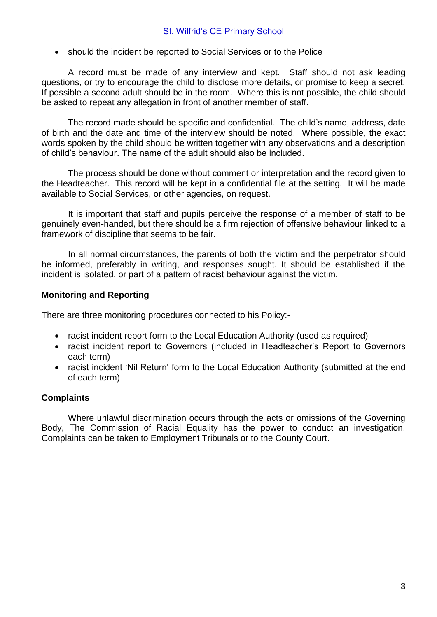• should the incident be reported to Social Services or to the Police

A record must be made of any interview and kept. Staff should not ask leading questions, or try to encourage the child to disclose more details, or promise to keep a secret. If possible a second adult should be in the room. Where this is not possible, the child should be asked to repeat any allegation in front of another member of staff.

The record made should be specific and confidential. The child's name, address, date of birth and the date and time of the interview should be noted. Where possible, the exact words spoken by the child should be written together with any observations and a description of child's behaviour. The name of the adult should also be included.

The process should be done without comment or interpretation and the record given to the Headteacher. This record will be kept in a confidential file at the setting. It will be made available to Social Services, or other agencies, on request.

It is important that staff and pupils perceive the response of a member of staff to be genuinely even-handed, but there should be a firm rejection of offensive behaviour linked to a framework of discipline that seems to be fair.

In all normal circumstances, the parents of both the victim and the perpetrator should be informed, preferably in writing, and responses sought. It should be established if the incident is isolated, or part of a pattern of racist behaviour against the victim.

### **Monitoring and Reporting**

There are three monitoring procedures connected to his Policy:-

- racist incident report form to the Local Education Authority (used as required)
- racist incident report to Governors (included in Headteacher's Report to Governors each term)
- racist incident 'Nil Return' form to the Local Education Authority (submitted at the end of each term)

### **Complaints**

Where unlawful discrimination occurs through the acts or omissions of the Governing Body, The Commission of Racial Equality has the power to conduct an investigation. Complaints can be taken to Employment Tribunals or to the County Court.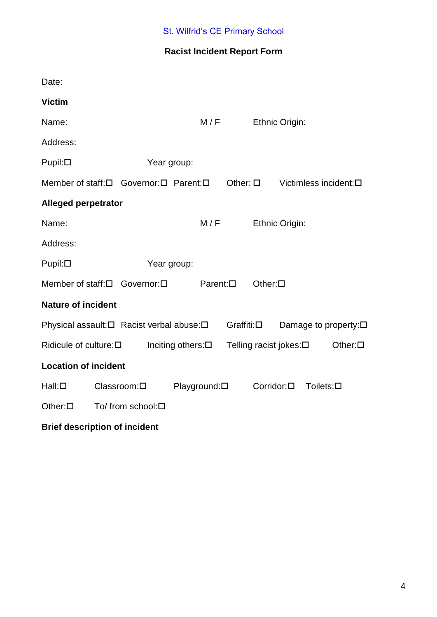# **Racist Incident Report Form**

| Date:                                               |  |                                            |                   |                  |                                            |                               |                 |                       |
|-----------------------------------------------------|--|--------------------------------------------|-------------------|------------------|--------------------------------------------|-------------------------------|-----------------|-----------------------|
| <b>Victim</b>                                       |  |                                            |                   |                  |                                            |                               |                 |                       |
| Name:                                               |  |                                            | M/F               |                  |                                            | Ethnic Origin:                |                 |                       |
| Address:                                            |  |                                            |                   |                  |                                            |                               |                 |                       |
| $P$ upil: $\Box$                                    |  |                                            | Year group:       |                  |                                            |                               |                 |                       |
|                                                     |  | Member of staff: [ Governor: [ Parent: [ ] |                   | Other: $\square$ |                                            |                               |                 | Victimless incident:□ |
| <b>Alleged perpetrator</b>                          |  |                                            |                   |                  |                                            |                               |                 |                       |
| Name:                                               |  |                                            | M/F               |                  |                                            | Ethnic Origin:                |                 |                       |
| Address:                                            |  |                                            |                   |                  |                                            |                               |                 |                       |
| $P$ upil: $\Box$                                    |  |                                            | Year group:       |                  |                                            |                               |                 |                       |
|                                                     |  | Member of staff:□ Governor:□               | $Parent: \square$ |                  | Other: $\square$                           |                               |                 |                       |
| <b>Nature of incident</b>                           |  |                                            |                   |                  |                                            |                               |                 |                       |
| Physical assault:□ Racist verbal abuse:□            |  | Graffiti:□                                 |                   |                  |                                            | Damage to property: $\square$ |                 |                       |
| Ridicule of culture:□<br>Inciting others: $\square$ |  |                                            |                   |                  | Telling racist jokes:□<br>Other: $\square$ |                               |                 |                       |
| <b>Location of incident</b>                         |  |                                            |                   |                  |                                            |                               |                 |                       |
| $Hall: \Box$                                        |  | Classroom:□                                | Playground:□      |                  | $Corridor: \square$                        |                               | $Toilets: \Box$ |                       |
| Other: $\square$                                    |  | To/ from school:□                          |                   |                  |                                            |                               |                 |                       |
|                                                     |  |                                            |                   |                  |                                            |                               |                 |                       |

# **Brief description of incident**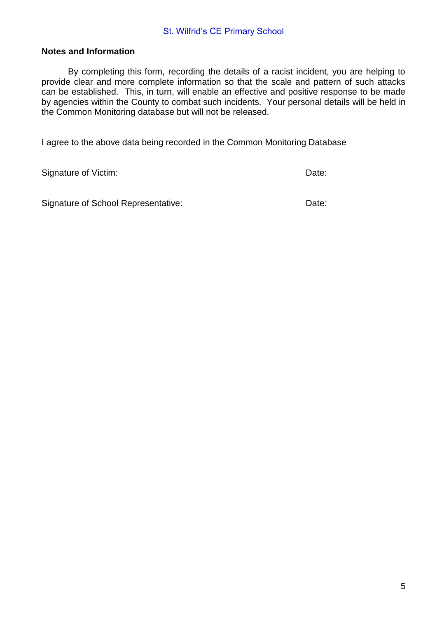#### **Notes and Information**

By completing this form, recording the details of a racist incident, you are helping to provide clear and more complete information so that the scale and pattern of such attacks can be established. This, in turn, will enable an effective and positive response to be made by agencies within the County to combat such incidents. Your personal details will be held in the Common Monitoring database but will not be released.

I agree to the above data being recorded in the Common Monitoring Database

Signature of Victim: Date: Date: Date: Date: Date: Date: Date: Date: Date: Date: Date: Date: Date: Date: Date: Date: Date: Date: Date: Date: Date: Date: Date: Date: Date: Date: Date: Date: Date: Date: Date: Date: Date: Dat

Signature of School Representative: Date: Date: